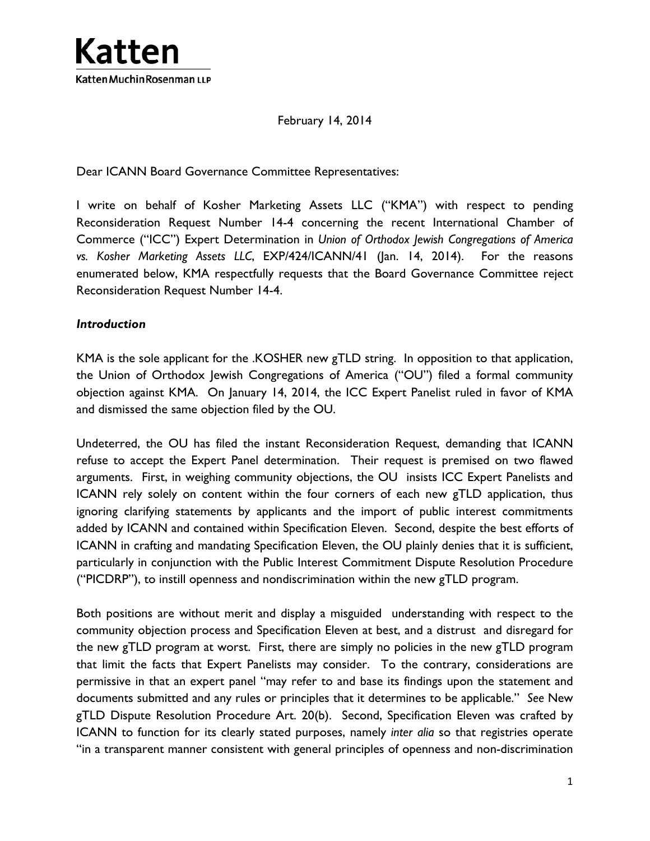

February 14, 2014

Dear ICANN Board Governance Committee Representatives:

I write on behalf of Kosher Marketing Assets LLC ("KMA") with respect to pending Reconsideration Request Number 14-4 concerning the recent International Chamber of Commerce ("ICC") Expert Determination in *Union of Orthodox Jewish Congregations of America vs. Kosher Marketing Assets LLC*, EXP/424/ICANN/41 (Jan. 14, 2014). For the reasons enumerated below, KMA respectfully requests that the Board Governance Committee reject Reconsideration Request Number 14-4.

#### *Introduction*

KMA is the sole applicant for the .KOSHER new gTLD string. In opposition to that application, the Union of Orthodox Jewish Congregations of America ("OU") filed a formal community objection against KMA. On January 14, 2014, the ICC Expert Panelist ruled in favor of KMA and dismissed the same objection filed by the OU.

Undeterred, the OU has filed the instant Reconsideration Request, demanding that ICANN refuse to accept the Expert Panel determination. Their request is premised on two flawed arguments. First, in weighing community objections, the OU insists ICC Expert Panelists and ICANN rely solely on content within the four corners of each new gTLD application, thus ignoring clarifying statements by applicants and the import of public interest commitments added by ICANN and contained within Specification Eleven. Second, despite the best efforts of ICANN in crafting and mandating Specification Eleven, the OU plainly denies that it is sufficient, particularly in conjunction with the Public Interest Commitment Dispute Resolution Procedure ("PICDRP"), to instill openness and nondiscrimination within the new gTLD program.

Both positions are without merit and display a misguided understanding with respect to the community objection process and Specification Eleven at best, and a distrust and disregard for the new gTLD program at worst. First, there are simply no policies in the new gTLD program that limit the facts that Expert Panelists may consider. To the contrary, considerations are permissive in that an expert panel "may refer to and base its findings upon the statement and documents submitted and any rules or principles that it determines to be applicable." *See* New gTLD Dispute Resolution Procedure Art. 20(b). Second, Specification Eleven was crafted by ICANN to function for its clearly stated purposes, namely *inter alia* so that registries operate "in a transparent manner consistent with general principles of openness and non-discrimination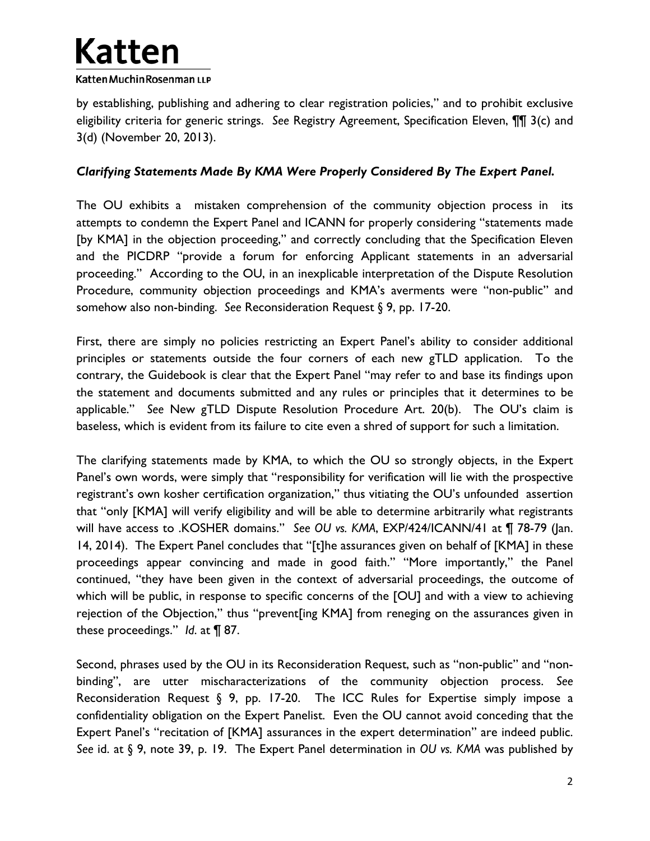

by establishing, publishing and adhering to clear registration policies," and to prohibit exclusive eligibility criteria for generic strings. *See* Registry Agreement, Specification Eleven, ¶¶ 3(c) and 3(d) (November 20, 2013).

### *Clarifying Statements Made By KMA Were Properly Considered By The Expert Panel.*

The OU exhibits a mistaken comprehension of the community objection process in its attempts to condemn the Expert Panel and ICANN for properly considering "statements made [by KMA] in the objection proceeding," and correctly concluding that the Specification Eleven and the PICDRP "provide a forum for enforcing Applicant statements in an adversarial proceeding." According to the OU, in an inexplicable interpretation of the Dispute Resolution Procedure, community objection proceedings and KMA's averments were "non-public" and somehow also non-binding. *See* Reconsideration Request § 9, pp. 17-20.

First, there are simply no policies restricting an Expert Panel's ability to consider additional principles or statements outside the four corners of each new gTLD application. To the contrary, the Guidebook is clear that the Expert Panel "may refer to and base its findings upon the statement and documents submitted and any rules or principles that it determines to be applicable." *See* New gTLD Dispute Resolution Procedure Art. 20(b). The OU's claim is baseless, which is evident from its failure to cite even a shred of support for such a limitation.

The clarifying statements made by KMA, to which the OU so strongly objects, in the Expert Panel's own words, were simply that "responsibility for verification will lie with the prospective registrant's own kosher certification organization," thus vitiating the OU's unfounded assertion that "only [KMA] will verify eligibility and will be able to determine arbitrarily what registrants will have access to .KOSHER domains." *See OU vs. KMA*, EXP/424/ICANN/41 at ¶ 78-79 (Jan. 14, 2014). The Expert Panel concludes that "[t]he assurances given on behalf of [KMA] in these proceedings appear convincing and made in good faith." "More importantly," the Panel continued, "they have been given in the context of adversarial proceedings, the outcome of which will be public, in response to specific concerns of the [OU] and with a view to achieving rejection of the Objection," thus "prevent[ing KMA] from reneging on the assurances given in these proceedings." *Id*. at ¶ 87.

Second, phrases used by the OU in its Reconsideration Request, such as "non-public" and "nonbinding", are utter mischaracterizations of the community objection process. *See* Reconsideration Request § 9, pp. 17-20. The ICC Rules for Expertise simply impose a confidentiality obligation on the Expert Panelist. Even the OU cannot avoid conceding that the Expert Panel's "recitation of [KMA] assurances in the expert determination" are indeed public. *See* id. at § 9, note 39, p. 19. The Expert Panel determination in *OU vs. KMA* was published by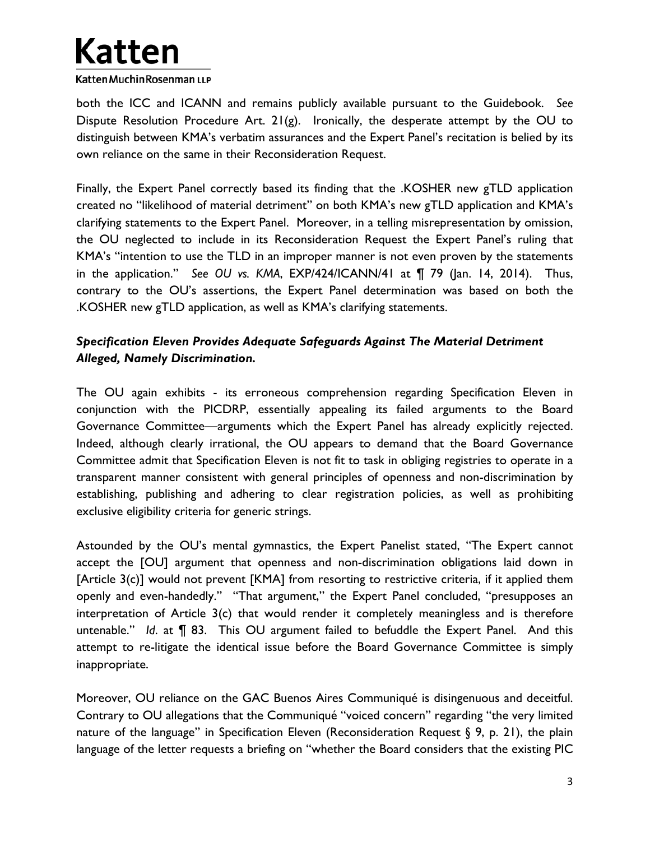# **Katten** Katten Muchin Rosenman LLP

both the ICC and ICANN and remains publicly available pursuant to the Guidebook. *See* Dispute Resolution Procedure Art.  $21(g)$ . Ironically, the desperate attempt by the OU to distinguish between KMA's verbatim assurances and the Expert Panel's recitation is belied by its own reliance on the same in their Reconsideration Request.

Finally, the Expert Panel correctly based its finding that the .KOSHER new gTLD application created no "likelihood of material detriment" on both KMA's new gTLD application and KMA's clarifying statements to the Expert Panel. Moreover, in a telling misrepresentation by omission, the OU neglected to include in its Reconsideration Request the Expert Panel's ruling that KMA's "intention to use the TLD in an improper manner is not even proven by the statements in the application." *See OU vs. KMA*, EXP/424/ICANN/41 at ¶ 79 (Jan. 14, 2014). Thus, contrary to the OU's assertions, the Expert Panel determination was based on both the .KOSHER new gTLD application, as well as KMA's clarifying statements.

## *Specification Eleven Provides Adequate Safeguards Against The Material Detriment Alleged, Namely Discrimination.*

The OU again exhibits - its erroneous comprehension regarding Specification Eleven in conjunction with the PICDRP, essentially appealing its failed arguments to the Board Governance Committee—arguments which the Expert Panel has already explicitly rejected. Indeed, although clearly irrational, the OU appears to demand that the Board Governance Committee admit that Specification Eleven is not fit to task in obliging registries to operate in a transparent manner consistent with general principles of openness and non-discrimination by establishing, publishing and adhering to clear registration policies, as well as prohibiting exclusive eligibility criteria for generic strings.

Astounded by the OU's mental gymnastics, the Expert Panelist stated, "The Expert cannot accept the [OU] argument that openness and non-discrimination obligations laid down in [Article 3(c)] would not prevent [KMA] from resorting to restrictive criteria, if it applied them openly and even-handedly." "That argument," the Expert Panel concluded, "presupposes an interpretation of Article 3(c) that would render it completely meaningless and is therefore untenable." *Id*. at ¶ 83. This OU argument failed to befuddle the Expert Panel. And this attempt to re-litigate the identical issue before the Board Governance Committee is simply inappropriate.

Moreover, OU reliance on the GAC Buenos Aires Communiqué is disingenuous and deceitful. Contrary to OU allegations that the Communiqué "voiced concern" regarding "the very limited nature of the language" in Specification Eleven (Reconsideration Request  $\S$  9, p. 21), the plain language of the letter requests a briefing on "whether the Board considers that the existing PIC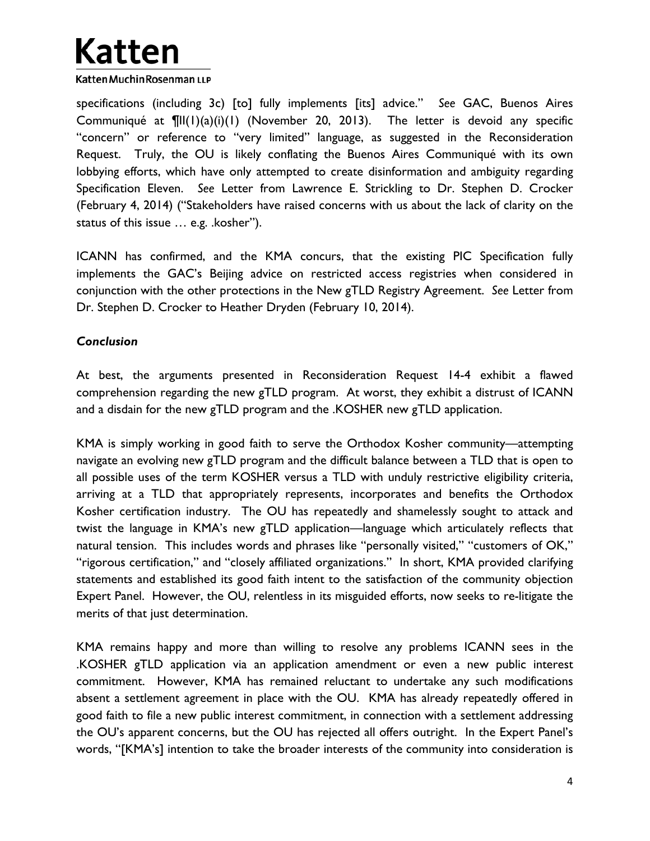# **Katten** Katten Muchin Rosenman LLP

specifications (including 3c) [to] fully implements [its] advice." *See* GAC, Buenos Aires Communiqué at ¶II(1)(a)(i)(1) (November 20, 2013). The letter is devoid any specific "concern" or reference to "very limited" language, as suggested in the Reconsideration Request. Truly, the OU is likely conflating the Buenos Aires Communiqué with its own lobbying efforts, which have only attempted to create disinformation and ambiguity regarding Specification Eleven. *See* Letter from Lawrence E. Strickling to Dr. Stephen D. Crocker (February 4, 2014) ("Stakeholders have raised concerns with us about the lack of clarity on the status of this issue … e.g. .kosher").

ICANN has confirmed, and the KMA concurs, that the existing PIC Specification fully implements the GAC's Beijing advice on restricted access registries when considered in conjunction with the other protections in the New gTLD Registry Agreement. *See* Letter from Dr. Stephen D. Crocker to Heather Dryden (February 10, 2014).

### *Conclusion*

At best, the arguments presented in Reconsideration Request 14-4 exhibit a flawed comprehension regarding the new gTLD program. At worst, they exhibit a distrust of ICANN and a disdain for the new gTLD program and the .KOSHER new gTLD application.

KMA is simply working in good faith to serve the Orthodox Kosher community—attempting navigate an evolving new gTLD program and the difficult balance between a TLD that is open to all possible uses of the term KOSHER versus a TLD with unduly restrictive eligibility criteria, arriving at a TLD that appropriately represents, incorporates and benefits the Orthodox Kosher certification industry. The OU has repeatedly and shamelessly sought to attack and twist the language in KMA's new gTLD application—language which articulately reflects that natural tension. This includes words and phrases like "personally visited," "customers of OK," "rigorous certification," and "closely affiliated organizations." In short, KMA provided clarifying statements and established its good faith intent to the satisfaction of the community objection Expert Panel. However, the OU, relentless in its misguided efforts, now seeks to re-litigate the merits of that just determination.

KMA remains happy and more than willing to resolve any problems ICANN sees in the .KOSHER gTLD application via an application amendment or even a new public interest commitment. However, KMA has remained reluctant to undertake any such modifications absent a settlement agreement in place with the OU. KMA has already repeatedly offered in good faith to file a new public interest commitment, in connection with a settlement addressing the OU's apparent concerns, but the OU has rejected all offers outright. In the Expert Panel's words, "[KMA's] intention to take the broader interests of the community into consideration is